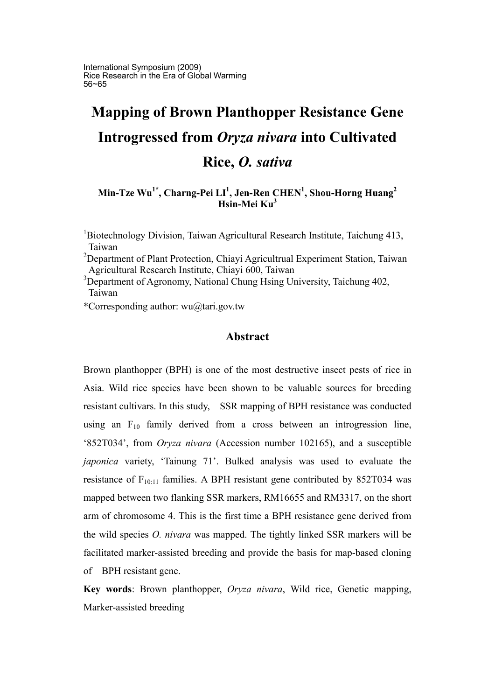International Symposium (2009) Rice Research in the Era of Global Warming 56~65

# **Mapping of Brown Planthopper Resistance Gene Introgressed from** *Oryza nivara* **into Cultivated Rice,** *O. sativa*

**Min-Tze Wu1\*, Charng-Pei LI1 , Jen-Ren CHEN1 , Shou-Horng Huang<sup>2</sup> Hsin-Mei Ku<sup>3</sup>**

<sup>1</sup>Biotechnology Division, Taiwan Agricultural Research Institute, Taichung 413, Taiwan

<sup>2</sup>Department of Plant Protection, Chiayi Agricultrual Experiment Station, Taiwan Agricultural Research Institute, Chiayi 600, Taiwan

<sup>3</sup>Department of Agronomy, National Chung Hsing University, Taichung 402, Taiwan

\*Corresponding author: wu@tari.gov.tw

## **Abstract**

Brown planthopper (BPH) is one of the most destructive insect pests of rice in Asia. Wild rice species have been shown to be valuable sources for breeding resistant cultivars. In this study, SSR mapping of BPH resistance was conducted using an  $F_{10}$  family derived from a cross between an introgression line, '852T034', from *Oryza nivara* (Accession number 102165), and a susceptible *japonica* variety, 'Tainung 71'. Bulked analysis was used to evaluate the resistance of  $F_{10:11}$  families. A BPH resistant gene contributed by 852T034 was mapped between two flanking SSR markers, RM16655 and RM3317, on the short arm of chromosome 4. This is the first time a BPH resistance gene derived from the wild species *O. nivara* was mapped. The tightly linked SSR markers will be facilitated marker-assisted breeding and provide the basis for map-based cloning of BPH resistant gene.

**Key words**: Brown planthopper, *Oryza nivara*, Wild rice, Genetic mapping, Marker-assisted breeding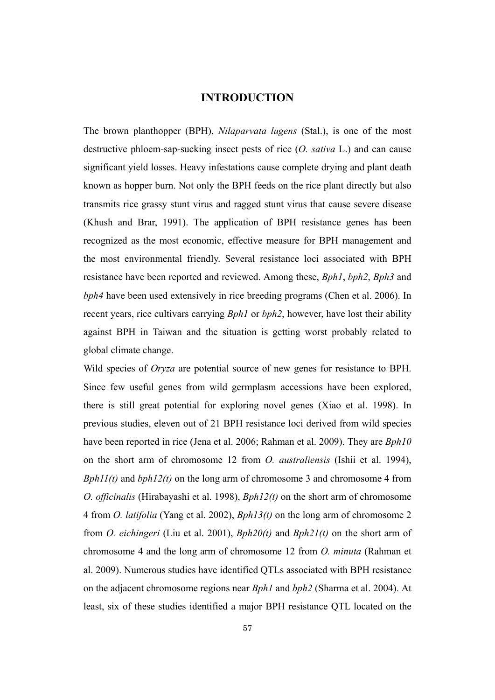# **INTRODUCTION**

The brown planthopper (BPH), *Nilaparvata lugens* (Stal.), is one of the most destructive phloem-sap-sucking insect pests of rice (*O. sativa* L.) and can cause significant yield losses. Heavy infestations cause complete drying and plant death known as hopper burn. Not only the BPH feeds on the rice plant directly but also transmits rice grassy stunt virus and ragged stunt virus that cause severe disease (Khush and Brar, 1991). The application of BPH resistance genes has been recognized as the most economic, effective measure for BPH management and the most environmental friendly. Several resistance loci associated with BPH resistance have been reported and reviewed. Among these, *Bph1*, *bph2*, *Bph3* and *bph4* have been used extensively in rice breeding programs (Chen et al. 2006). In recent years, rice cultivars carrying *Bph1* or *bph2*, however, have lost their ability against BPH in Taiwan and the situation is getting worst probably related to global climate change.

Wild species of *Oryza* are potential source of new genes for resistance to BPH. Since few useful genes from wild germplasm accessions have been explored, there is still great potential for exploring novel genes (Xiao et al. 1998). In previous studies, eleven out of 21 BPH resistance loci derived from wild species have been reported in rice (Jena et al. 2006; Rahman et al. 2009). They are *Bph10* on the short arm of chromosome 12 from *O. australiensis* (Ishii et al. 1994), *Bph11(t)* and *bph12(t)* on the long arm of chromosome 3 and chromosome 4 from *O. officinalis* (Hirabayashi et al. 1998), *Bph12(t)* on the short arm of chromosome 4 from *O. latifolia* (Yang et al. 2002), *Bph13(t)* on the long arm of chromosome 2 from *O. eichingeri* (Liu et al. 2001), *Bph20(t)* and *Bph21(t)* on the short arm of chromosome 4 and the long arm of chromosome 12 from *O. minuta* (Rahman et al. 2009). Numerous studies have identified QTLs associated with BPH resistance on the adjacent chromosome regions near *Bph1* and *bph2* (Sharma et al. 2004). At least, six of these studies identified a major BPH resistance QTL located on the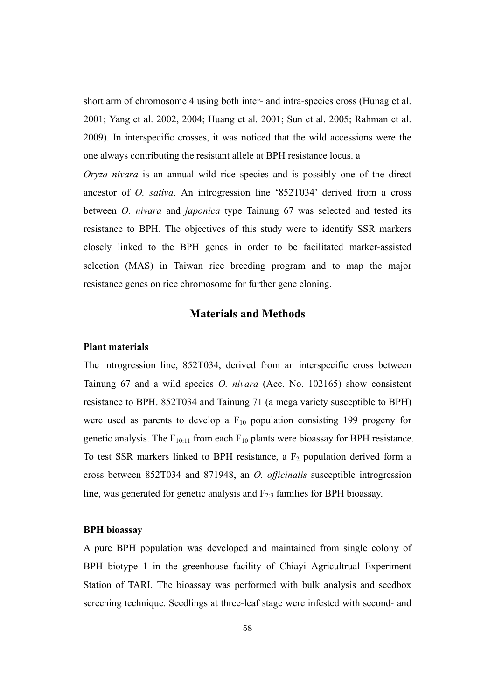short arm of chromosome 4 using both inter- and intra-species cross (Hunag et al. 2001; Yang et al. 2002, 2004; Huang et al. 2001; Sun et al. 2005; Rahman et al. 2009). In interspecific crosses, it was noticed that the wild accessions were the one always contributing the resistant allele at BPH resistance locus. a

*Oryza nivara* is an annual wild rice species and is possibly one of the direct ancestor of *O. sativa*. An introgression line '852T034' derived from a cross between *O. nivara* and *japonica* type Tainung 67 was selected and tested its resistance to BPH. The objectives of this study were to identify SSR markers closely linked to the BPH genes in order to be facilitated marker-assisted selection (MAS) in Taiwan rice breeding program and to map the major resistance genes on rice chromosome for further gene cloning.

## **Materials and Methods**

#### **Plant materials**

The introgression line, 852T034, derived from an interspecific cross between Tainung 67 and a wild species *O. nivara* (Acc. No. 102165) show consistent resistance to BPH. 852T034 and Tainung 71 (a mega variety susceptible to BPH) were used as parents to develop a  $F_{10}$  population consisting 199 progeny for genetic analysis. The  $F_{10:11}$  from each  $F_{10}$  plants were bioassay for BPH resistance. To test SSR markers linked to BPH resistance, a  $F_2$  population derived form a cross between 852T034 and 871948, an *O. officinalis* susceptible introgression line, was generated for genetic analysis and  $F_{2:3}$  families for BPH bioassay.

#### **BPH bioassay**

A pure BPH population was developed and maintained from single colony of BPH biotype 1 in the greenhouse facility of Chiayi Agricultrual Experiment Station of TARI. The bioassay was performed with bulk analysis and seedbox screening technique. Seedlings at three-leaf stage were infested with second- and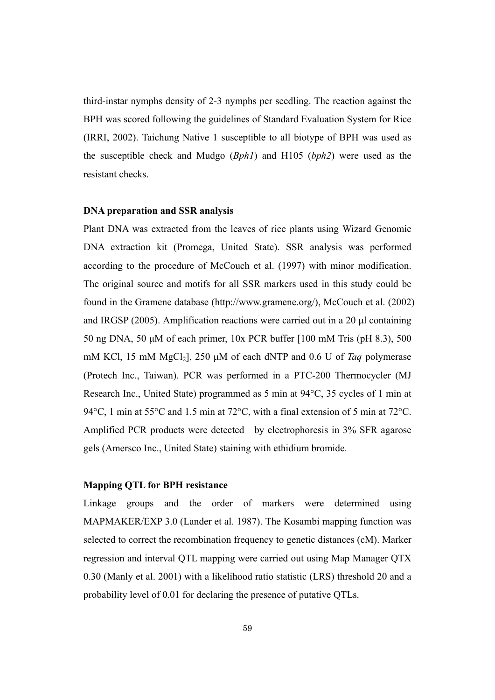third-instar nymphs density of 2-3 nymphs per seedling. The reaction against the BPH was scored following the guidelines of Standard Evaluation System for Rice (IRRI, 2002). Taichung Native 1 susceptible to all biotype of BPH was used as the susceptible check and Mudgo (*Bph1*) and H105 (*bph2*) were used as the resistant checks.

#### **DNA preparation and SSR analysis**

Plant DNA was extracted from the leaves of rice plants using Wizard Genomic DNA extraction kit (Promega, United State). SSR analysis was performed according to the procedure of McCouch et al. (1997) with minor modification. The original source and motifs for all SSR markers used in this study could be found in the Gramene database (http://www.gramene.org/), McCouch et al. (2002) and IRGSP (2005). Amplification reactions were carried out in a 20 μl containing 50 ng DNA, 50 μM of each primer, 10x PCR buffer [100 mM Tris (pH 8.3), 500 mM KCl, 15 mM MgCl<sub>2</sub>], 250 μM of each dNTP and 0.6 U of *Taq* polymerase (Protech Inc., Taiwan). PCR was performed in a PTC-200 Thermocycler (MJ Research Inc., United State) programmed as 5 min at 94°C, 35 cycles of 1 min at 94°C, 1 min at 55°C and 1.5 min at 72°C, with a final extension of 5 min at 72°C. Amplified PCR products were detected by electrophoresis in 3% SFR agarose gels (Amersco Inc., United State) staining with ethidium bromide.

#### **Mapping QTL for BPH resistance**

Linkage groups and the order of markers were determined using MAPMAKER/EXP 3.0 (Lander et al. 1987). The Kosambi mapping function was selected to correct the recombination frequency to genetic distances (cM). Marker regression and interval QTL mapping were carried out using Map Manager QTX 0.30 (Manly et al. 2001) with a likelihood ratio statistic (LRS) threshold 20 and a probability level of 0.01 for declaring the presence of putative QTLs.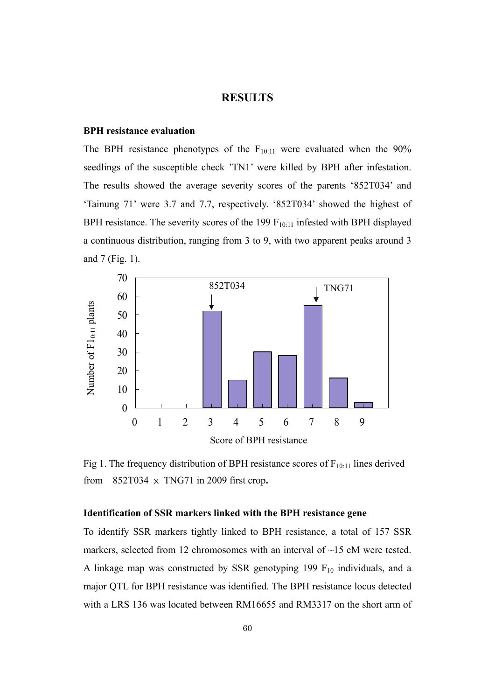## **RESULTS**

#### **BPH resistance evaluation**

The BPH resistance phenotypes of the  $F_{10:11}$  were evaluated when the 90% seedlings of the susceptible check 'TN1' were killed by BPH after infestation. The results showed the average severity scores of the parents '852T034' and 'Tainung 71' were 3.7 and 7.7, respectively. '852T034' showed the highest of BPH resistance. The severity scores of the 199  $F_{10:11}$  infested with BPH displayed a continuous distribution, ranging from 3 to 9, with two apparent peaks around 3 and 7 (Fig. 1).



Fig 1. The frequency distribution of BPH resistance scores of  $F_{10:11}$  lines derived from  $852T034 \times TNG71$  in 2009 first crop.

### **Identification of SSR markers linked with the BPH resistance gene**

To identify SSR markers tightly linked to BPH resistance, a total of 157 SSR markers, selected from 12 chromosomes with an interval of ~15 cM were tested. A linkage map was constructed by SSR genotyping 199  $F_{10}$  individuals, and a major QTL for BPH resistance was identified. The BPH resistance locus detected with a LRS 136 was located between RM16655 and RM3317 on the short arm of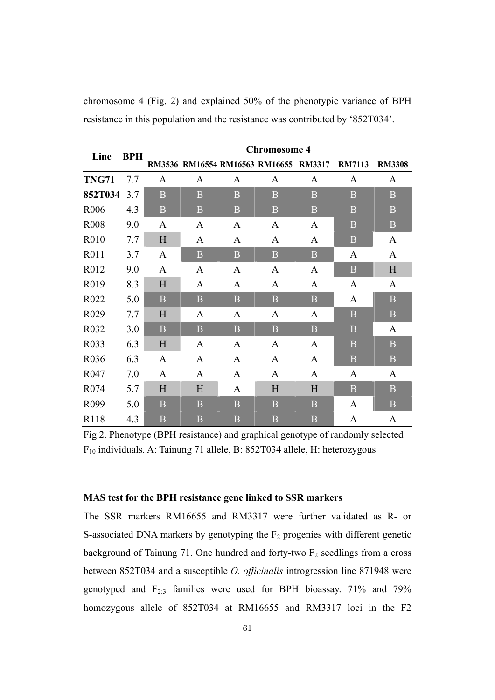| Line             | <b>BPH</b> | <b>Chromosome 4</b> |                |                |                                       |                  |                |                |  |  |
|------------------|------------|---------------------|----------------|----------------|---------------------------------------|------------------|----------------|----------------|--|--|
|                  |            |                     |                |                | RM3536 RM16554 RM16563 RM16655 RM3317 |                  | <b>RM7113</b>  | <b>RM3308</b>  |  |  |
| <b>TNG71</b>     | 7.7        | A                   | A              | A              | A                                     | A                | A              | A              |  |  |
| 852T034          | 3.7        | B                   | B              | $\mathbf B$    | B                                     | B                | B              | $\overline{B}$ |  |  |
| R006             | 4.3        | B                   | B              | $\overline{B}$ | B                                     | $\overline{B}$   | B              | $\, {\bf B}$   |  |  |
| <b>R008</b>      | 9.0        | A                   | A              | $\mathbf{A}$   | $\mathbf{A}$                          | A                | B              | $\overline{B}$ |  |  |
| R010             | 7.7        | H                   | A              | A              | A                                     | A                | $\bf{B}$       | A              |  |  |
| R011             | 3.7        | A                   | B              | $\mathbf B$    | $\mathbf{B}$                          | $\boldsymbol{B}$ | $\mathbf{A}$   | A              |  |  |
| R012             | 9.0        | $\mathbf{A}$        | A              | $\mathbf{A}$   | A                                     | A                | B              | H              |  |  |
| R019             | 8.3        | H                   | A              | A              | A                                     | A                | $\mathbf{A}$   | A              |  |  |
| R022             | 5.0        | B                   | $\overline{B}$ | $\mathbf B$    | $\overline{B}$                        | $\bf{B}$         | A              | $\overline{B}$ |  |  |
| R <sub>029</sub> | 7.7        | H                   | A              | A              | A                                     | A                | $\overline{B}$ | $\overline{B}$ |  |  |
| R032             | 3.0        | $\mathbf{B}$        | $\overline{B}$ | $\mathbf{B}$   | B                                     | $\overline{B}$   | $\mathbf B$    | A              |  |  |
| R033             | 6.3        | H                   | $\mathbf{A}$   | $\mathbf{A}$   | A                                     | A                | B              | $\overline{B}$ |  |  |
| R036             | 6.3        | $\mathbf{A}$        | A              | A              | A                                     | A                | $\overline{B}$ | B              |  |  |
| R047             | 7.0        | A                   | A              | A              | A                                     | A                | A              | A              |  |  |
| R <sub>074</sub> | 5.7        | H                   | $H_{\rm}$      | A              | H                                     | H                | $\mathbf{B}$   | $\mathbf{B}$   |  |  |
| R099             | 5.0        | B                   | B              | $\mathbf B$    | B                                     | $\bf{B}$         | A              | $\overline{B}$ |  |  |
| R <sub>118</sub> | 4.3        | B                   | B              | B              | B                                     | B                | A              | A              |  |  |

chromosome 4 (Fig. 2) and explained 50% of the phenotypic variance of BPH resistance in this population and the resistance was contributed by '852T034'.

Fig 2. Phenotype (BPH resistance) and graphical genotype of randomly selected F10 individuals. A: Tainung 71 allele, B: 852T034 allele, H: heterozygous

## **MAS test for the BPH resistance gene linked to SSR markers**

The SSR markers RM16655 and RM3317 were further validated as R- or S-associated DNA markers by genotyping the  $F<sub>2</sub>$  progenies with different genetic background of Tainung 71. One hundred and forty-two  $F_2$  seedlings from a cross between 852T034 and a susceptible *O. officinalis* introgression line 871948 were genotyped and  $F_{2:3}$  families were used for BPH bioassay. 71% and 79% homozygous allele of 852T034 at RM16655 and RM3317 loci in the F2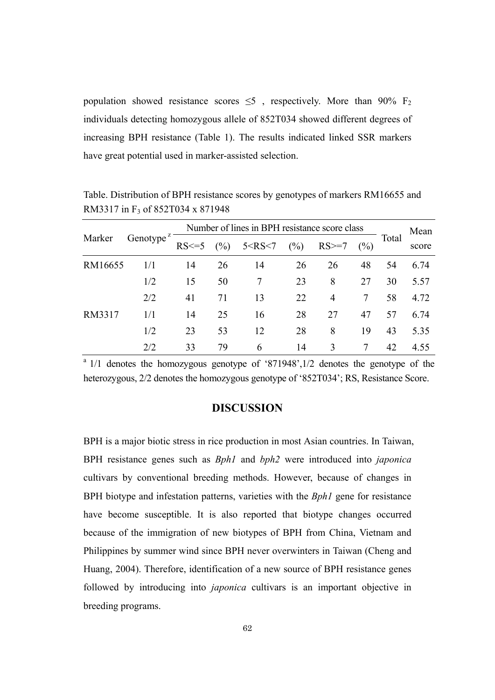population showed resistance scores  $\leq$ 5, respectively. More than 90% F<sub>2</sub> individuals detecting homozygous allele of 852T034 showed different degrees of increasing BPH resistance (Table 1). The results indicated linked SSR markers have great potential used in marker-assisted selection.

|         |                                    | Number of lines in BPH resistance score class |    |                   |                           |                |       |       | Mean |
|---------|------------------------------------|-----------------------------------------------|----|-------------------|---------------------------|----------------|-------|-------|------|
| Marker  | Genotype <sup><math>z</math></sup> | $RS \leq 5$                                   |    | $(\%)$ 5 < RS < 7 | (%)<br>$RS \geq 7$<br>(%) |                | Total | score |      |
| RM16655 | 1/1                                | 14                                            | 26 | 14                | 26                        | 26             | 48    | 54    | 6.74 |
|         | 1/2                                | 15                                            | 50 | 7                 | 23                        | 8              | 27    | 30    | 5.57 |
|         | 2/2                                | 41                                            | 71 | 13                | 22                        | $\overline{4}$ |       | 58    | 4.72 |
| RM3317  | 1/1                                | 14                                            | 25 | 16                | 28                        | 27             | 47    | 57    | 6.74 |
|         | 1/2                                | 23                                            | 53 | 12                | 28                        | 8              | 19    | 43    | 5.35 |
|         | 2/2                                | 33                                            | 79 | 6                 | 14                        | 3              |       | 42    | 4.55 |

Table. Distribution of BPH resistance scores by genotypes of markers RM16655 and RM3317 in F3 of 852T034 x 871948

<sup>a</sup> 1/1 denotes the homozygous genotype of '871948',1/2 denotes the genotype of the heterozygous, 2/2 denotes the homozygous genotype of '852T034'; RS, Resistance Score.

# **DISCUSSION**

BPH is a major biotic stress in rice production in most Asian countries. In Taiwan, BPH resistance genes such as *Bph1* and *bph2* were introduced into *japonica* cultivars by conventional breeding methods. However, because of changes in BPH biotype and infestation patterns, varieties with the *Bph1* gene for resistance have become susceptible. It is also reported that biotype changes occurred because of the immigration of new biotypes of BPH from China, Vietnam and Philippines by summer wind since BPH never overwinters in Taiwan (Cheng and Huang, 2004). Therefore, identification of a new source of BPH resistance genes followed by introducing into *japonica* cultivars is an important objective in breeding programs.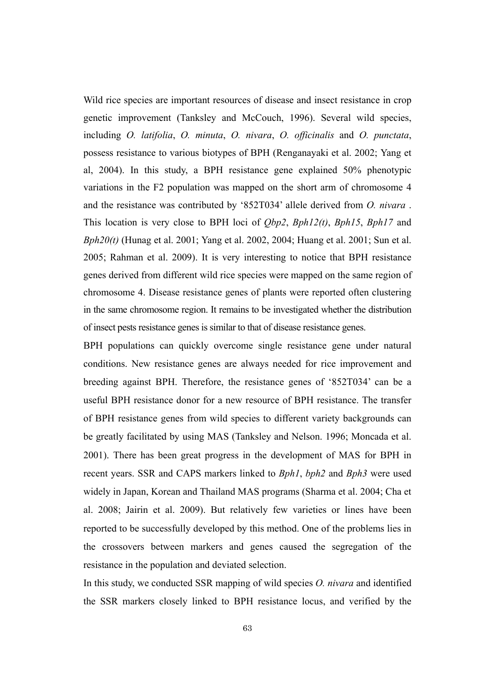Wild rice species are important resources of disease and insect resistance in crop genetic improvement (Tanksley and McCouch, 1996). Several wild species, including *O. latifolia*, *O. minuta*, *O. nivara*, *O. officinalis* and *O. punctata*, possess resistance to various biotypes of BPH (Renganayaki et al. 2002; Yang et al, 2004). In this study, a BPH resistance gene explained 50% phenotypic variations in the F2 population was mapped on the short arm of chromosome 4 and the resistance was contributed by '852T034' allele derived from *O. nivara* . This location is very close to BPH loci of *Qbp2*, *Bph12(t)*, *Bph15*, *Bph17* and *Bph20(t)* (Hunag et al. 2001; Yang et al. 2002, 2004; Huang et al. 2001; Sun et al. 2005; Rahman et al. 2009). It is very interesting to notice that BPH resistance genes derived from different wild rice species were mapped on the same region of chromosome 4. Disease resistance genes of plants were reported often clustering in the same chromosome region. It remains to be investigated whether the distribution of insect pests resistance genes is similar to that of disease resistance genes.

BPH populations can quickly overcome single resistance gene under natural conditions. New resistance genes are always needed for rice improvement and breeding against BPH. Therefore, the resistance genes of '852T034' can be a useful BPH resistance donor for a new resource of BPH resistance. The transfer of BPH resistance genes from wild species to different variety backgrounds can be greatly facilitated by using MAS (Tanksley and Nelson. 1996; Moncada et al. 2001). There has been great progress in the development of MAS for BPH in recent years. SSR and CAPS markers linked to *Bph1*, *bph2* and *Bph3* were used widely in Japan, Korean and Thailand MAS programs (Sharma et al. 2004; Cha et al. 2008; Jairin et al. 2009). But relatively few varieties or lines have been reported to be successfully developed by this method. One of the problems lies in the crossovers between markers and genes caused the segregation of the resistance in the population and deviated selection.

In this study, we conducted SSR mapping of wild species *O. nivara* and identified the SSR markers closely linked to BPH resistance locus, and verified by the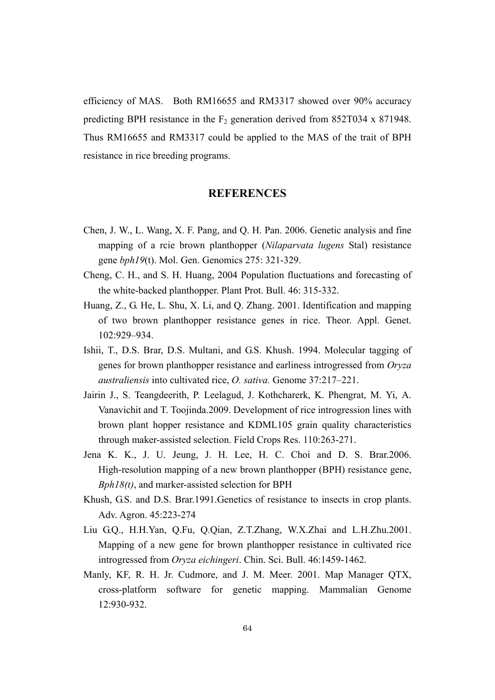efficiency of MAS. Both RM16655 and RM3317 showed over 90% accuracy predicting BPH resistance in the  $F_2$  generation derived from 852T034 x 871948. Thus RM16655 and RM3317 could be applied to the MAS of the trait of BPH resistance in rice breeding programs.

## **REFERENCES**

- Chen, J. W., L. Wang, X. F. Pang, and Q. H. Pan. 2006. Genetic analysis and fine mapping of a rcie brown planthopper (*Nilaparvata lugens* Stal) resistance gene *bph19*(t). Mol. Gen. Genomics 275: 321-329.
- Cheng, C. H., and S. H. Huang, 2004 Population fluctuations and forecasting of the white-backed planthopper. Plant Prot. Bull. 46: 315-332.
- Huang, Z., G. He, L. Shu, X. Li, and Q. Zhang. 2001. Identification and mapping of two brown planthopper resistance genes in rice. Theor. Appl. Genet. 102:929–934.
- Ishii, T., D.S. Brar, D.S. Multani, and G.S. Khush. 1994. Molecular tagging of genes for brown planthopper resistance and earliness introgressed from *Oryza australiensis* into cultivated rice, *O. sativa.* Genome 37:217–221.
- Jairin J., S. Teangdeerith, P. Leelagud, J. Kothcharerk, K. Phengrat, M. Yi, A. Vanavichit and T. Toojinda.2009. Development of rice introgression lines with brown plant hopper resistance and KDML105 grain quality characteristics through maker-assisted selection. Field Crops Res. 110:263-271.
- Jena K. K., J. U. Jeung, J. H. Lee, H. C. Choi and D. S. Brar.2006. High-resolution mapping of a new brown planthopper (BPH) resistance gene, *Bph18(t)*, and marker-assisted selection for BPH
- Khush, G.S. and D.S. Brar.1991.Genetics of resistance to insects in crop plants. Adv. Agron. 45:223-274
- Liu G.Q., H.H.Yan, Q.Fu, Q.Qian, Z.T.Zhang, W.X.Zhai and L.H.Zhu.2001. Mapping of a new gene for brown planthopper resistance in cultivated rice introgressed from *Oryza eichingeri*. Chin. Sci. Bull. 46:1459-1462.
- Manly, KF, R. H. Jr. Cudmore, and J. M. Meer. 2001. Map Manager QTX, cross-platform software for genetic mapping. Mammalian Genome 12:930-932.